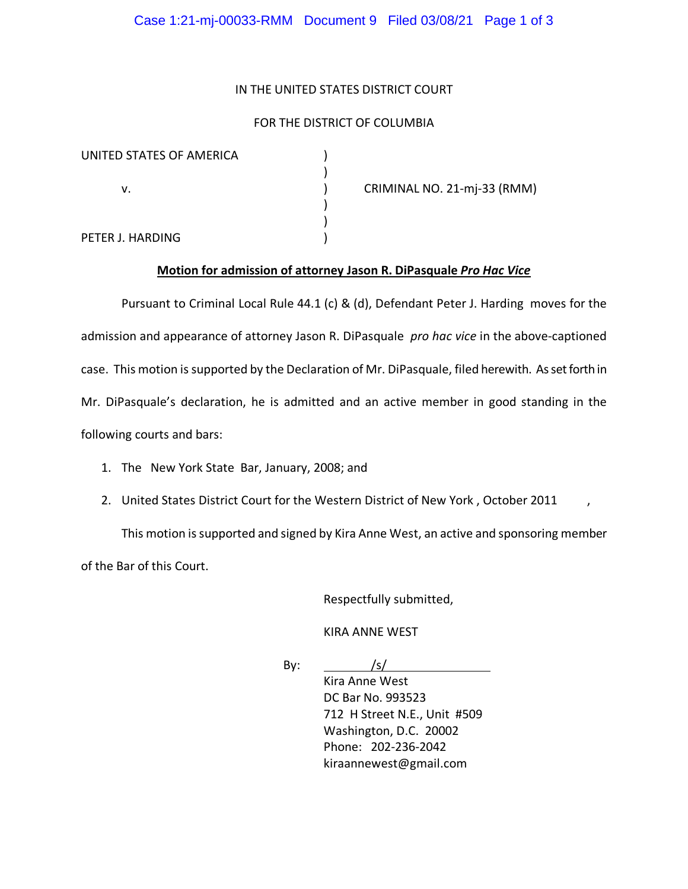### IN THE UNITED STATES DISTRICT COURT

### FOR THE DISTRICT OF COLUMBIA

| UNITED STATES OF AMERICA |                             |
|--------------------------|-----------------------------|
| v.                       | CRIMINAL NO. 21-mj-33 (RMM) |
|                          |                             |
|                          |                             |
| PETER J. HARDING         |                             |

# **Motion for admission of attorney Jason R. DiPasquale** *Pro Hac Vice*

Pursuant to Criminal Local Rule 44.1 (c) & (d), Defendant Peter J. Harding moves for the admission and appearance of attorney Jason R. DiPasquale *pro hac vice* in the above-captioned case. This motion is supported by the Declaration of Mr. DiPasquale, filed herewith. As set forth in Mr. DiPasquale's declaration, he is admitted and an active member in good standing in the following courts and bars:

- 1. The New York State Bar, January, 2008; and
- 2. United States District Court for the Western District of New York , October 2011 ,

This motion is supported and signed by Kira Anne West, an active and sponsoring member of the Bar of this Court.

Respectfully submitted,

KIRA ANNE WEST

By:  $/s/$ 

Kira Anne West DC Bar No. 993523 712 H Street N.E., Unit #509 Washington, D.C. 20002 Phone: 202-236-2042 kiraannewest@gmail.com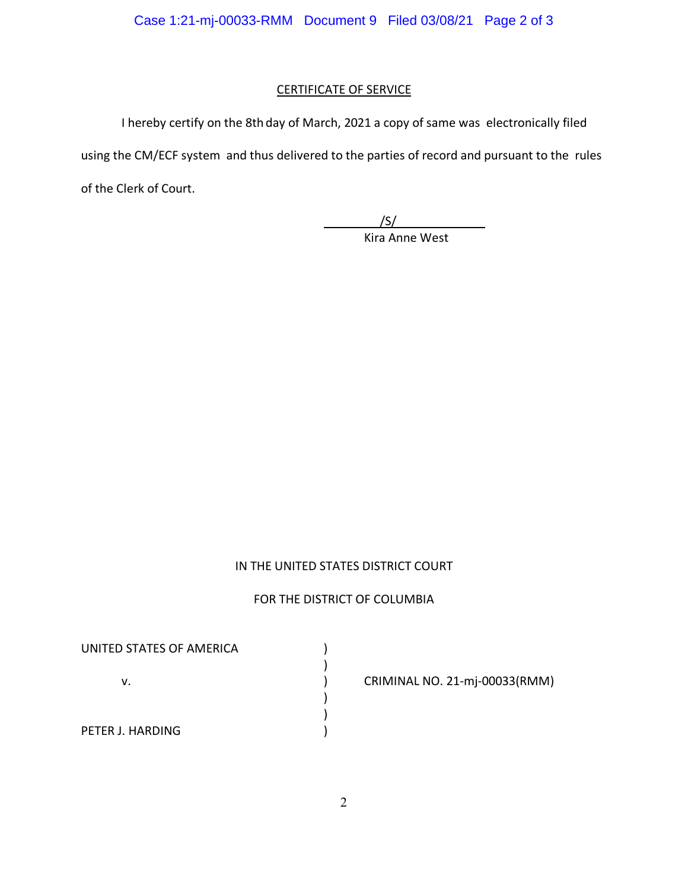# CERTIFICATE OF SERVICE

I hereby certify on the 8th day of March, 2021 a copy of same was electronically filed

using the CM/ECF system and thus delivered to the parties of record and pursuant to the rules

of the Clerk of Court.

 $/$  /S/ Kira Anne West

# IN THE UNITED STATES DISTRICT COURT

# FOR THE DISTRICT OF COLUMBIA

UNITED STATES OF AMERICA (1997) ) v. ) CRIMINAL NO. 21-mj-00033(RMM) ) ) PETER J. HARDING (1999)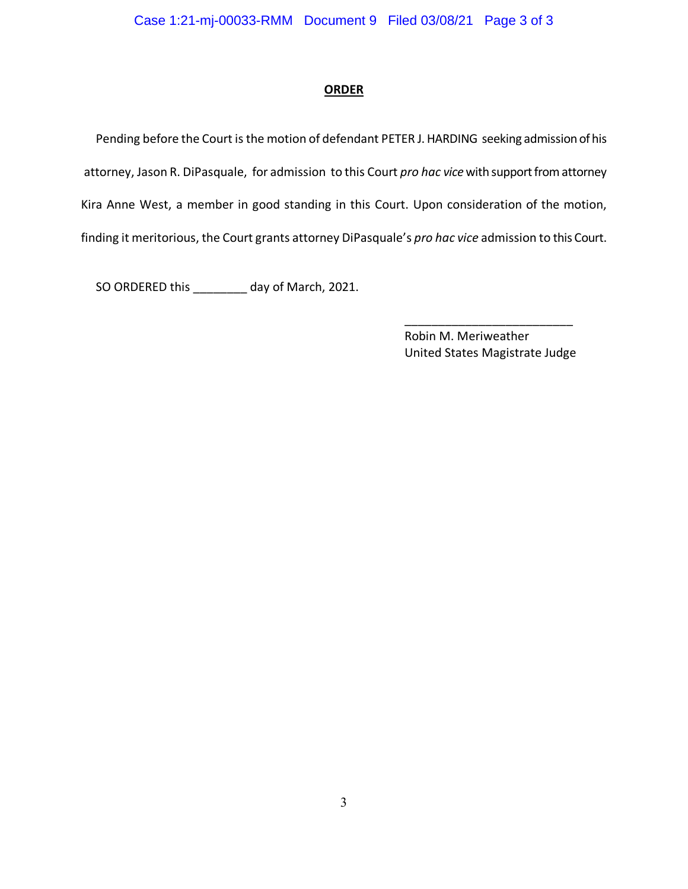### **ORDER**

 Pending before the Court is the motion of defendant PETER J. HARDING seeking admission of his attorney, Jason R. DiPasquale, for admission to this Court *pro hac vice*with support from attorney Kira Anne West, a member in good standing in this Court. Upon consideration of the motion, finding it meritorious, the Court grants attorney DiPasquale's *pro hac vice* admission to this Court.

SO ORDERED this \_\_\_\_\_\_\_\_ day of March, 2021.

Robin M. Meriweather United States Magistrate Judge

\_\_\_\_\_\_\_\_\_\_\_\_\_\_\_\_\_\_\_\_\_\_\_\_\_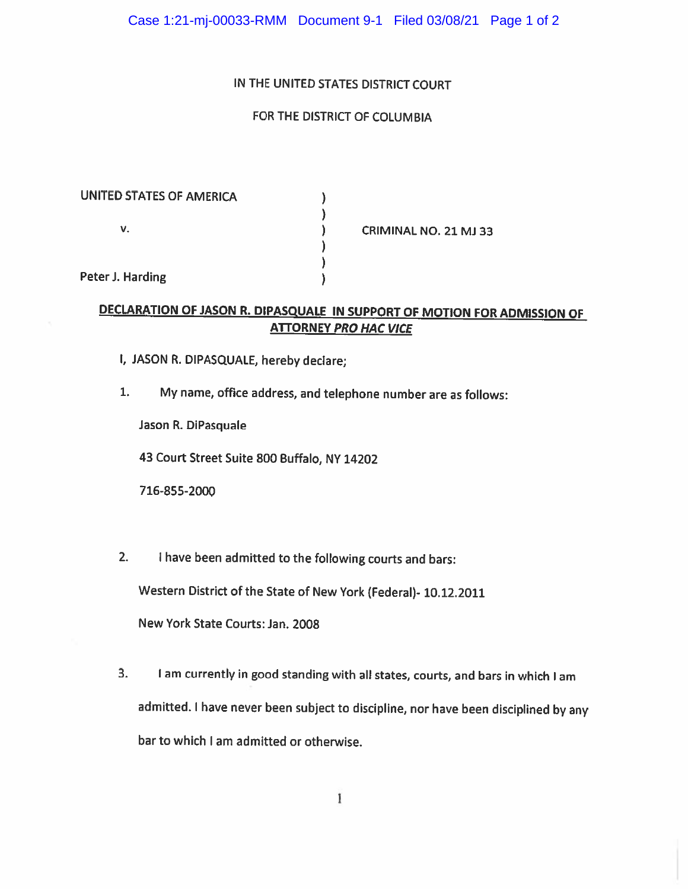### IN THE UNITED STATES DISTRICT COURT

# FOR THE DISTRICT OF COLUMBIA

| UNITED STATES OF AMERICA |                           |
|--------------------------|---------------------------|
|                          |                           |
| ۷.                       | <b>CRIMINAL NO. 21 MJ</b> |
|                          |                           |
|                          |                           |
| Peter J. Harding         |                           |

# DECLARATION OF JASON R. DIPASQUALE IN SUPPORT OF MOTION FOR ADMISSION OF **ATTORNEY PRO HAC VICE**

 $33<sub>1</sub>$ 

- I, JASON R. DIPASQUALE, hereby declare;
- My name, office address, and telephone number are as follows:  $1.$

Jason R. DiPasquale

43 Court Street Suite 800 Buffalo, NY 14202

716-855-2000

 $2.$ I have been admitted to the following courts and bars:

Western District of the State of New York (Federal)- 10.12.2011

New York State Courts: Jan. 2008

I am currently in good standing with all states, courts, and bars in which I am 3. admitted. I have never been subject to discipline, nor have been disciplined by any bar to which I am admitted or otherwise.